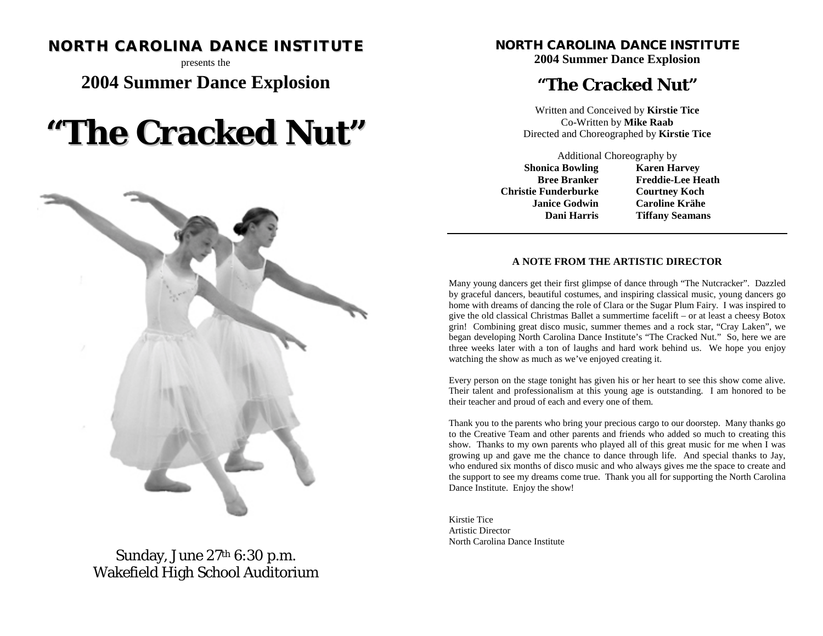# **NORTH CAROLINA DANCE INSTITUTE**

presents the

# **2004 Summer Dance Explosion**

# **"The Cracked Nut"**



Sunday, June 27th 6:30 p.m. Wakefield High School Auditorium

### **NORTH CAROLINA DANCE INSTITUTE 2004 Summer Dance Explosion**

# **"The Cracked Nut"**

Written and Conceived by **Kirstie Tice** Co-Written by **Mike Raab** Directed and Choreographed by **Kirstie Tice**

Additional Choreography by **Shonica Bowling Bree Branker Christie Funderburke Janice Godwin Dani Harris** 

**Karen Harvey Freddie-Lee Heath Courtney Koch Caroline Krähe Tiffany Seamans**

#### **A NOTE FROM THE ARTISTIC DIRECTOR**

Many young dancers get their first glimpse of dance through "The Nutcracker". Dazzled by graceful dancers, beautiful costumes, and inspiring classical music, young dancers go home with dreams of dancing the role of Clara or the Sugar Plum Fairy. I was inspired to give the old classical Christmas Ballet a summertime facelift – or at least a cheesy Botox grin! Combining great disco music, summer themes and a rock star, "Cray Laken", we began developing North Carolina Dance Institute's "The Cracked Nut." So, here we are three weeks later with a ton of laughs and hard work behind us. We hope you enjoy watching the show as much as we've enjoyed creating it.

Every person on the stage tonight has given his or her heart to see this show come alive. Their talent and professionalism at this young age is outstanding. I am honored to be their teacher and proud of each and every one of them.

Thank you to the parents who bring your precious cargo to our doorstep. Many thanks go to the Creative Team and other parents and friends who added so much to creating this show. Thanks to my own parents who played all of this great music for me when I was growing up and gave me the chance to dance through life. And special thanks to Jay, who endured six months of disco music and who always gives me the space to create and the support to see my dreams come true. Thank you all for supporting the North Carolina Dance Institute. Enjoy the show!

Kirstie Tice Artistic Director North Carolina Dance Institute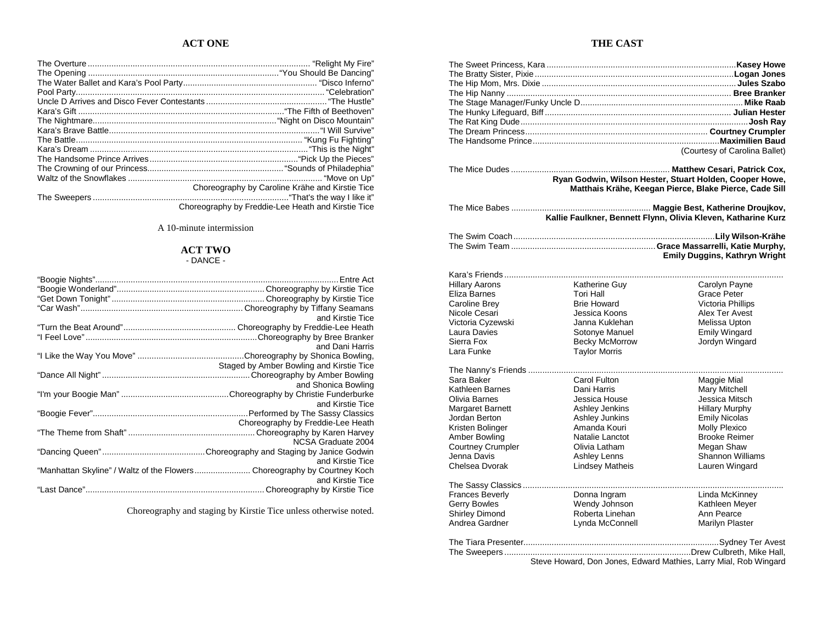#### **ACT ONE**

| Choreography by Caroline Krähe and Kirstie Tice    |
|----------------------------------------------------|
|                                                    |
| Choreography by Freddie-Lee Heath and Kirstie Tice |

A 10-minute intermission

#### **ACT TWO**

| <b>DANCL</b> |  |
|--------------|--|
|              |  |

| and Kirstie Tice                                                                             |
|----------------------------------------------------------------------------------------------|
|                                                                                              |
|                                                                                              |
| and Dani Harris                                                                              |
|                                                                                              |
| Staged by Amber Bowling and Kirstie Tice                                                     |
|                                                                                              |
| and Shonica Bowling                                                                          |
|                                                                                              |
| and Kirstie Tice                                                                             |
|                                                                                              |
| Choreography by Freddie-Lee Heath                                                            |
|                                                                                              |
| NCSA Graduate 2004                                                                           |
|                                                                                              |
| and Kirstie Tice                                                                             |
| "Manhattan Skyline" / Waltz of the Flowers Choreography by Courtney Koch<br>and Kirstie Tice |
|                                                                                              |
|                                                                                              |

Choreography and staging by Kirstie Tice unless otherwise noted.

#### **THE CAST**

|                        |                        | (Courtesy of Carolina Ballet)                                 |
|------------------------|------------------------|---------------------------------------------------------------|
|                        |                        |                                                               |
|                        |                        |                                                               |
|                        |                        | Ryan Godwin, Wilson Hester, Stuart Holden, Cooper Howe,       |
|                        |                        | Matthais Krähe, Keegan Pierce, Blake Pierce, Cade Sill        |
|                        |                        |                                                               |
|                        |                        | Kallie Faulkner, Bennett Flynn, Olivia Kleven, Katharine Kurz |
|                        |                        |                                                               |
|                        |                        |                                                               |
|                        |                        |                                                               |
|                        |                        | <b>Emily Duggins, Kathryn Wright</b>                          |
|                        |                        |                                                               |
|                        |                        |                                                               |
| <b>Hillary Aarons</b>  | Katherine Guy          | Carolyn Payne                                                 |
| Eliza Barnes           | Tori Hall              | Grace Peter                                                   |
| Caroline Brey          | <b>Brie Howard</b>     | Victoria Phillips                                             |
| Nicole Cesari          | Jessica Koons          | Alex Ter Avest                                                |
| Victoria Cyzewski      | Janna Kuklehan         | Melissa Upton                                                 |
| Laura Davies           | Sotonye Manuel         | <b>Emily Wingard</b>                                          |
| Sierra Fox             | Becky McMorrow         | Jordyn Wingard                                                |
| Lara Funke             | <b>Taylor Morris</b>   |                                                               |
|                        |                        |                                                               |
|                        |                        |                                                               |
| Sara Baker             | Carol Fulton           | Maggie Mial                                                   |
| Kathleen Barnes        | Dani Harris            | Mary Mitchell                                                 |
| Olivia Barnes          | Jessica House          | Jessica Mitsch                                                |
| Margaret Barnett       | Ashley Jenkins         | <b>Hillary Murphy</b>                                         |
| Jordan Berton          | Ashley Junkins         | <b>Emily Nicolas</b>                                          |
| Kristen Bolinger       | Amanda Kouri           | Molly Plexico                                                 |
| Amber Bowling          | Natalie Lanctot        | <b>Brooke Reimer</b>                                          |
| Courtney Crumpler      | Olivia Latham          | Megan Shaw                                                    |
| Jenna Davis            | Ashley Lenns           | Shannon Williams                                              |
| Chelsea Dvorak         | <b>Lindsey Matheis</b> | Lauren Wingard                                                |
|                        |                        |                                                               |
| <b>Frances Beverly</b> | Donna Ingram           | Linda McKinney                                                |
| <b>Gerry Bowles</b>    | Wendy Johnson          | Kathleen Meyer                                                |
| Shirley Dimond         | Roberta Linehan        | Ann Pearce                                                    |
| Andrea Gardner         | Lynda McConnell        | Marilyn Plaster                                               |
|                        |                        |                                                               |
|                        |                        |                                                               |
|                        |                        |                                                               |

Steve Howard, Don Jones, Edward Mathies, Larry Mial, Rob Wingard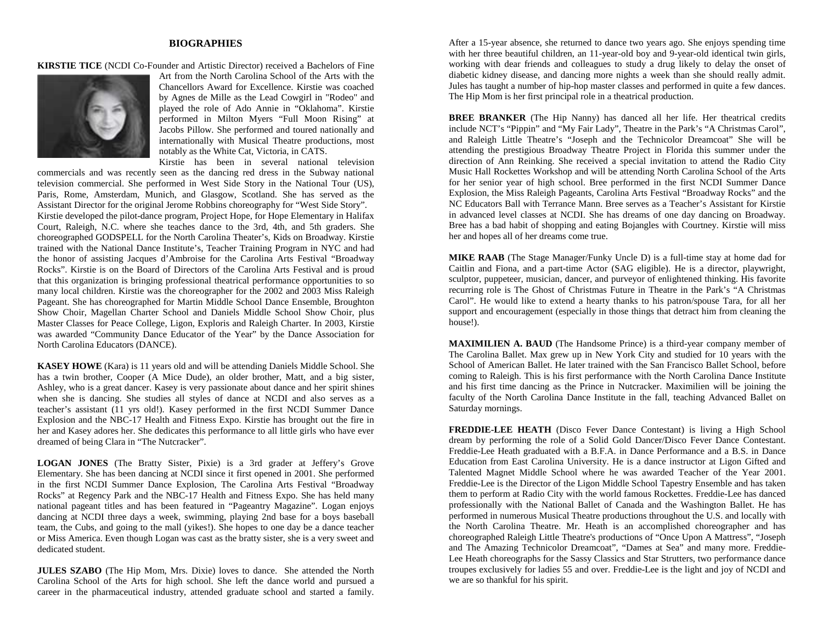#### **BIOGRAPHIES**

**KIRSTIE TICE** (NCDI Co-Founder and Artistic Director) received a Bachelors of Fine



Art from the North Carolina School of the Arts with the Chancellors Award for Excellence. Kirstie was coached by Agnes de Mille as the Lead Cowgirl in "Rodeo" and played the role of Ado Annie in "Oklahoma". Kirstie performed in Milton Myers "Full Moon Rising" at Jacobs Pillow. She performed and toured nationally and internationally with Musical Theatre productions, most notably as the White Cat, Victoria, in CATS.

Kirstie has been in several national television commercials and was recently seen as the dancing red dress in the Subway national television commercial. She performed in West Side Story in the National Tour (US), Paris, Rome, Amsterdam, Munich, and Glasgow, Scotland. She has served as the Assistant Director for the original Jerome Robbins choreography for "West Side Story". Kirstie developed the pilot-dance program, Project Hope, for Hope Elementary in Halifax Court, Raleigh, N.C. where she teaches dance to the 3rd, 4th, and 5th graders. She choreographed GODSPELL for the North Carolina Theater's, Kids on Broadway. Kirstie trained with the National Dance Institute's, Teacher Training Program in NYC and had the honor of assisting Jacques d'Ambroise for the Carolina Arts Festival "Broadway Rocks". Kirstie is on the Board of Directors of the Carolina Arts Festival and is proud that this organization is bringing professional theatrical performance opportunities to so many local children. Kirstie was the choreographer for the 2002 and 2003 Miss Raleigh Pageant. She has choreographed for Martin Middle School Dance Ensemble, Broughton Show Choir, Magellan Charter School and Daniels Middle School Show Choir, plus Master Classes for Peace College, Ligon, Exploris and Raleigh Charter. In 2003, Kirstie was awarded "Community Dance Educator of the Year" by the Dance Association for North Carolina Educators (DANCE).

**KASEY HOWE** (Kara) is 11 years old and will be attending Daniels Middle School. She has a twin brother, Cooper (A Mice Dude), an older brother, Matt, and a big sister, Ashley, who is a great dancer. Kasey is very passionate about dance and her spirit shines when she is dancing. She studies all styles of dance at NCDI and also serves as a teacher's assistant (11 yrs old!). Kasey performed in the first NCDI Summer Dance Explosion and the NBC-17 Health and Fitness Expo. Kirstie has brought out the fire in her and Kasey adores her. She dedicates this performance to all little girls who have ever dreamed of being Clara in "The Nutcracker".

**LOGAN JONES** (The Bratty Sister, Pixie) is a 3rd grader at Jeffery's Grove Elementary. She has been dancing at NCDI since it first opened in 2001. She performed in the first NCDI Summer Dance Explosion, The Carolina Arts Festival "Broadway Rocks" at Regency Park and the NBC-17 Health and Fitness Expo. She has held many national pageant titles and has been featured in "Pageantry Magazine". Logan enjoys dancing at NCDI three days a week, swimming, playing 2nd base for a boys baseball team, the Cubs, and going to the mall (yikes!). She hopes to one day be a dance teacher or Miss America. Even though Logan was cast as the bratty sister, she is a very sweet and dedicated student.

**JULES SZABO** (The Hip Mom, Mrs. Dixie) loves to dance. She attended the North Carolina School of the Arts for high school. She left the dance world and pursued a career in the pharmaceutical industry, attended graduate school and started a family.

After a 15-year absence, she returned to dance two years ago. She enjoys spending time with her three beautiful children, an 11-year-old boy and 9-year-old identical twin girls, working with dear friends and colleagues to study a drug likely to delay the onset of diabetic kidney disease, and dancing more nights a week than she should really admit. Jules has taught a number of hip-hop master classes and performed in quite a few dances. The Hip Mom is her first principal role in a theatrical production.

**BREE BRANKER** (The Hip Nanny) has danced all her life. Her theatrical credits include NCT's "Pippin" and "My Fair Lady", Theatre in the Park's "A Christmas Carol", and Raleigh Little Theatre's "Joseph and the Technicolor Dreamcoat" She will be attending the prestigious Broadway Theatre Project in Florida this summer under the direction of Ann Reinking. She received a special invitation to attend the Radio City Music Hall Rockettes Workshop and will be attending North Carolina School of the Arts for her senior year of high school. Bree performed in the first NCDI Summer Dance Explosion, the Miss Raleigh Pageants, Carolina Arts Festival "Broadway Rocks" and the NC Educators Ball with Terrance Mann. Bree serves as a Teacher's Assistant for Kirstie in advanced level classes at NCDI. She has dreams of one day dancing on Broadway. Bree has a bad habit of shopping and eating Bojangles with Courtney. Kirstie will miss her and hopes all of her dreams come true.

**MIKE RAAB** (The Stage Manager/Funky Uncle D) is a full-time stay at home dad for Caitlin and Fiona, and a part-time Actor (SAG eligible). He is a director, playwright, sculptor, puppeteer, musician, dancer, and purveyor of enlightened thinking. His favorite recurring role is The Ghost of Christmas Future in Theatre in the Park's "A Christmas Carol". He would like to extend a hearty thanks to his patron/spouse Tara, for all her support and encouragement (especially in those things that detract him from cleaning the house!).

**MAXIMILIEN A. BAUD** (The Handsome Prince) is a third-year company member of The Carolina Ballet. Max grew up in New York City and studied for 10 years with the School of American Ballet. He later trained with the San Francisco Ballet School, before coming to Raleigh. This is his first performance with the North Carolina Dance Institute and his first time dancing as the Prince in Nutcracker. Maximilien will be joining the faculty of the North Carolina Dance Institute in the fall, teaching Advanced Ballet on Saturday mornings.

**FREDDIE-LEE HEATH** (Disco Fever Dance Contestant) is living a High School dream by performing the role of a Solid Gold Dancer/Disco Fever Dance Contestant. Freddie-Lee Heath graduated with a B.F.A. in Dance Performance and a B.S. in Dance Education from East Carolina University. He is a dance instructor at Ligon Gifted and Talented Magnet Middle School where he was awarded Teacher of the Year 2001. Freddie-Lee is the Director of the Ligon Middle School Tapestry Ensemble and has taken them to perform at Radio City with the world famous Rockettes. Freddie-Lee has danced professionally with the National Ballet of Canada and the Washington Ballet. He has performed in numerous Musical Theatre productions throughout the U.S. and locally with the North Carolina Theatre. Mr. Heath is an accomplished choreographer and has choreographed Raleigh Little Theatre's productions of "Once Upon A Mattress", "Joseph and The Amazing Technicolor Dreamcoat", "Dames at Sea" and many more. Freddie-Lee Heath choreographs for the Sassy Classics and Star Strutters, two performance dance troupes exclusively for ladies 55 and over. Freddie-Lee is the light and joy of NCDI and we are so thankful for his spirit.